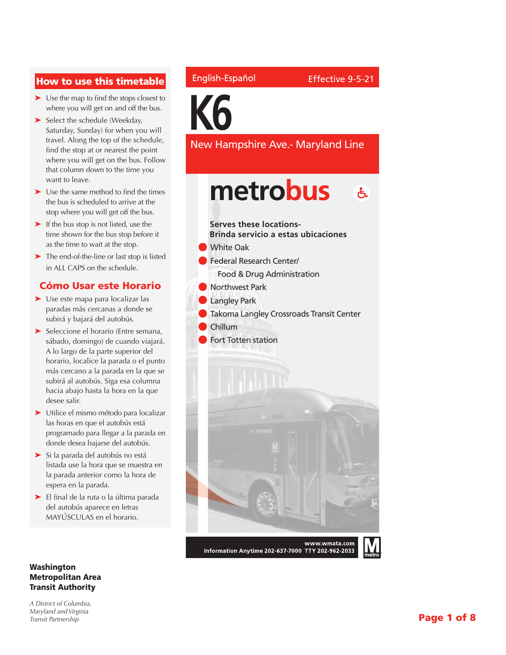## How to use this timetable

- ➤ Use the map to find the stops closest to where you will get on and off the bus.
- ➤ Select the schedule (Weekday, Saturday, Sunday) for when you will travel. Along the top of the schedule, find the stop at or nearest the point where you will get on the bus. Follow that column down to the time you want to leave.
- ➤ Use the same method to find the times the bus is scheduled to arrive at the stop where you will get off the bus.
- ➤ If the bus stop is not listed, use the time shown for the bus stop before it as the time to wait at the stop.
- ➤ The end-of-the-line or last stop is listed in ALL CAPS on the schedule.

### Cómo Usar este Horario

- ➤ Use este mapa para localizar las paradas más cercanas a donde se subirá y bajará del autobús.
- ➤ Seleccione el horario (Entre semana, sábado, domingo) de cuando viajará. A lo largo de la parte superior del horario, localice la parada o el punto más cercano a la parada en la que se subirá al autobús. Siga esa columna hacia abajo hasta la hora en la que desee salir.
- ➤ Utilice el mismo método para localizar las horas en que el autobús está programado para llegar a la parada en donde desea bajarse del autobús.
- ➤ Si la parada del autobús no está listada use la hora que se muestra en la parada anterior como la hora de espera en la parada.
- ➤ El final de la ruta o la última parada del autobús aparece en letras MAYÚSCULAS en el horario.

#### Washington Metropolitan Area Transit Authority

*A District of Columbia, Maryland and Virginia Transit Partnership*

### English-Español

**K6**

New Hampshire Ave.- Maryland Line

# metrobus  $\mathbf{A}$



Information Anytime 202-637-7000 TTY 202-962-2033

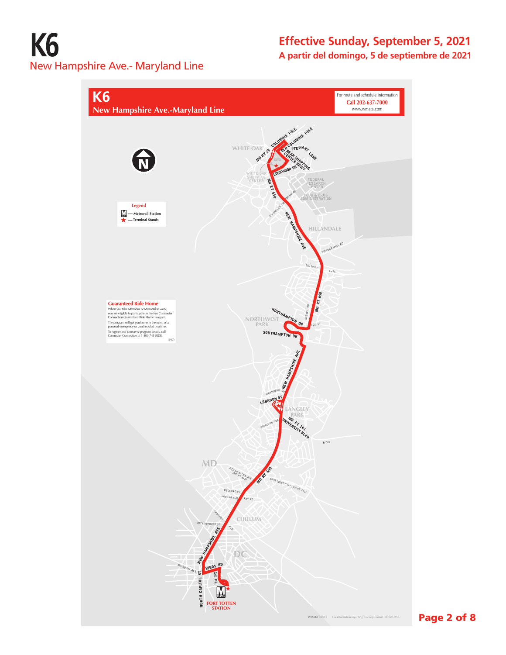# **K6** New Hampshire Ave.- Maryland Line

# **Effective Sunday, September 5, 2021 A partir del domingo, 5 de septiembre de 2021**

**K6** For route and schedule information **Call 202-637-7000 New Hampshire Ave.-Maryland Line**  www.wmata.com OLD FOLUMBIA PIKE COLUM MD RT 29 **WHITE OAK** STEWA<sub>P</sub> CENTER SHOP LANE LOCKWOOD DR **WHITE OAK SHOPPING CENTER ENDING:** M RT 650 MAHAN RD **FOOD & DRUG Legend** SCHIMDLER DR **— Metrorail Station** NEW HAMPSHIRE AVE **— Terminal Stands HILLANDALE** POWDER MILL RD  $B_{ELTWA}$ **MD RT 650 Guaranteed Ride Home**<br>
When you kee Methodis or Methodial to work,<br>
wou are eligible to participate in the free Commuter<br>
comencion Guaranteed Ride Home Program<br>
The program will get you home in the event of a<br>
presonal AVENEL RD **PTHAMPTON NORTHWEST PARK** FOX ST SOUTHAMPTON DR NEW HAMps<sub>tane</sub> MERRIMAC D<sub>R</sub> LEBANON ST **LANGLEY** UNIVERSITY <sup>93</sup> **KIRKLYNN AVE**  BLVD **MD MD RT 650 AN ALLEN MD RT 411** BEL<sub>E</sub> POPLAR AVE RAY RD EASTERN AVE **CHILLUM** RITTENHOUSE ST NEW HAMPSHIRE AVE **DC RIGGS RD** MISSOURI AVE NORTH CAPITOL ST 1st PL CAPITOI  $\mathbf N$ NORTH **FORT TOTTEN STATION WMATA** ©2016 For information regarding this map contact <R•A•D•S>.

### Page 2 of 8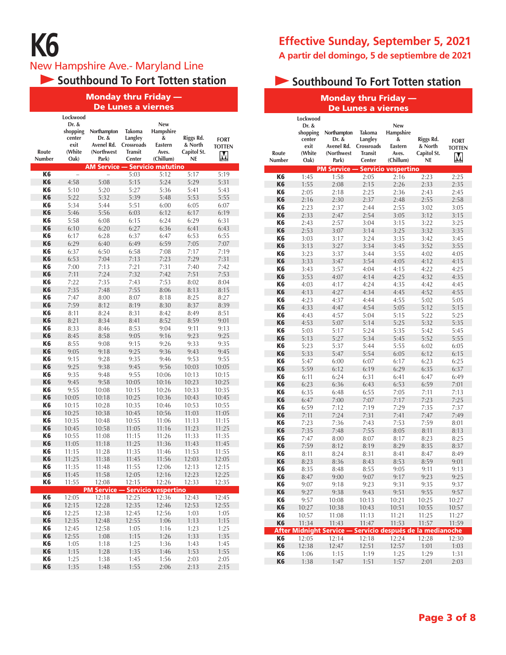# **K6**

New Hampshire Ave.- Maryland Line

**Southbound To Fort Totten station** 

#### Monday thru Friday — De Lunes a viernes

|                                  | Lockwood           |                      |                   |                            |                |                |
|----------------------------------|--------------------|----------------------|-------------------|----------------------------|----------------|----------------|
|                                  | Dr. &              |                      |                   | New                        |                |                |
|                                  | shopping<br>center | Northampton<br>Dr. & | Takoma<br>Langley | Hampshire<br>&             | Riggs Rd.      | <b>FORT</b>    |
|                                  | exit               | Avenel Rd.           | Crossroads        | Eastern                    | & North        | <b>TOTTEN</b>  |
| Route                            | (White             | (Northwest           | <b>Transit</b>    | Aves.                      | Capitol St.    |                |
| Number                           | Oak)               | Park)                | Center            | (Chillum)                  | NE             | M              |
|                                  |                    | <b>AM Service</b>    |                   | <b>Servicio matutino</b>   |                |                |
| K <sub>6</sub>                   | $\overline{a}$     | $\overline{a}$       | 5:03              | 5:12                       | 5:17           | 5:19           |
| K <sub>6</sub>                   | 4:58               | 5:08                 | 5:15              | 5:24                       | 5:29           | 5:31           |
| K6<br>K <sub>6</sub>             | 5:10<br>5:22       | 5:20<br>5:32         | 5:27<br>5:39      | 5:36<br>5:48               | 5:41<br>5:53   | 5:43<br>5:55   |
| K6                               | 5:34               | 5:44                 | 5:51              | 6:00                       | 6:05           | 6:07           |
| K <sub>6</sub>                   | 5:46               | 5:56                 | 6:03              | 6:12                       | 6:17           | 6:19           |
| K6                               | 5:58               | 6:08                 | 6:15              | 6:24                       | 6:29           | 6:31           |
| K <sub>6</sub>                   | 6:10               | 6:20                 | 6:27              | 6:36                       | 6:41           | 6:43           |
| K6                               | 6:17               | 6:28                 | 6:37              | 6:47                       | 6:53           | 6:55           |
| K <sub>6</sub>                   | 6:29               | 6:40                 | 6:49              | 6:59                       | 7:05           | 7:07           |
| K6                               | 6:37               | 6:50                 | 6:58              | 7:08                       | 7:17           | 7:19           |
| K <sub>6</sub>                   | 6:53               | 7:04                 | 7:13              | 7:23                       | 7:29           | 7:31           |
| K6                               | 7:00               | 7:13                 | 7:21              | 7:31                       | 7:40           | 7:42           |
| K <sub>6</sub>                   | 7:11               | 7:24                 | 7:32              | 7:42                       | 7:51           | 7:53           |
| K6                               | 7:22               | 7:35                 | 7:43              | 7:53                       | 8:02           | 8:04           |
| K <sub>6</sub>                   | 7:35               | 7:48                 | 7:55              | 8:06                       | 8:13           | 8:15           |
| K6<br>K <sub>6</sub>             | 7:47<br>7:59       | 8:00                 | 8:07              | 8:18                       | 8:25           | 8:27           |
| K6                               | 8:11               | 8:12<br>8:24         | 8:19<br>8:31      | 8:30<br>8:42               | 8:37<br>8:49   | 8:39<br>8:51   |
| K <sub>6</sub>                   | 8:21               | 8:34                 | 8:41              | 8:52                       | 8:59           | 9:01           |
| K6                               | 8:33               | 8:46                 | 8:53              | 9:04                       | 9:11           | 9:13           |
| K <sub>6</sub>                   | 8:45               | 8:58                 | 9:05              | 9:16                       | 9:23           | 9:25           |
| K6                               | 8:55               | 9:08                 | 9:15              | 9:26                       | 9:33           | 9:35           |
| K <sub>6</sub>                   | 9:05               | 9:18                 | 9:25              | 9:36                       | 9:43           | 9:45           |
| K6                               | 9:15               | 9:28                 | 9:35              | 9:46                       | 9:53           | 9:55           |
| K <sub>6</sub>                   | 9:25               | 9:38                 | 9:45              | 9:56                       | 10:03          | 10:05          |
| K6                               | 9:35               | 9:48                 | 9:55              | 10:06                      | 10:13          | 10:15          |
| K <sub>6</sub>                   | 9:45               | 9:58                 | 10:05             | 10:16                      | 10:23          | 10:25          |
| K6                               | 9:55               | 10:08                | 10:15             | 10:26                      | 10:33          | 10:35          |
| K <sub>6</sub>                   | 10:05              | 10:18                | 10:25             | 10:36                      | 10:43          | 10:45          |
| K6<br>K <sub>6</sub>             | 10:15<br>10:25     | 10:28<br>10:38       | 10:35             | 10:46<br>10:56             | 10:53          | 10:55<br>11:05 |
| K6                               | 10:35              | 10:48                | 10:45<br>10:55    | 11:06                      | 11:03<br>11:13 | 11:15          |
| K <sub>6</sub>                   | 10:45              | 10:58                | 11:05             | 11:16                      | 11:23          | 11:25          |
| K6                               | 10:55              | 11:08                | 11:15             | 11:26                      | 11:33          | 11:35          |
| K <sub>6</sub>                   | 11:05              | 11:18                | 11:25             | 11:36                      | 11:43          | 11:45          |
| K6                               | 11:15              | 11:28                | 11:35             | 11:46                      | 11:53          | 11:55          |
| K <sub>6</sub>                   | 11:25              | 11:38                | 11:45             | 11:56                      | 12:03          | 12:05          |
| K6                               | 11:35              | 11:48                | 11:55             | 12:06                      | 12:13          | 12:15          |
| K <sub>6</sub>                   | 11:45              | 11:58                | 12:05             | 12:16                      | 12:23          | 12:25          |
| K6                               | 11:55              | 12:08                | 12:15             | 12:26                      | 12:33          | 12:35          |
|                                  |                    | <b>PM Service -</b>  |                   | <b>Servicio vespertino</b> |                |                |
| K <sub>6</sub>                   | 12:05              | 12:18                | 12:25             | 12:36                      | 12:43          | 12:45          |
| K <sub>6</sub><br>K <sub>6</sub> | 12:15<br>12:25     | 12:28                | 12:35             | 12:46                      | 12:53          | 12:55          |
| K <sub>6</sub>                   | 12:35              | 12:38<br>12:48       | 12:45<br>12:55    | 12:56<br>1:06              | 1:03<br>1:13   | 1:05<br>1:15   |
| K <sub>6</sub>                   | 12:45              | 12:58                | 1:05              | 1:16                       | 1:23           | 1:25           |
| K <sub>6</sub>                   | 12:55              | 1:08                 | 1:15              | 1:26                       | 1:33           | 1:35           |
| K6                               | 1:05               | 1:18                 | 1:25              | 1:36                       | 1:43           | 1:45           |
| K <sub>6</sub>                   | 1:15               | 1:28                 | 1:35              | 1:46                       | 1:53           | 1:55           |
| K <sub>6</sub>                   | 1:25               | 1:38                 | 1:45              | 1:56                       | 2:03           | 2:05           |
| K <sub>6</sub>                   | 1:35               | 1:48                 | 1:55              | 2:06                       | 2:13           | 2:15           |

# **Effective Sunday, September 5, 2021 A partir del domingo, 5 de septiembre de 2021**

# **Southbound To Fort Totten station**

| <b>Monday thru Friday</b> |                                                                   |                                                            |                                                             |                                                        |                                                  |                                   |  |  |  |  |
|---------------------------|-------------------------------------------------------------------|------------------------------------------------------------|-------------------------------------------------------------|--------------------------------------------------------|--------------------------------------------------|-----------------------------------|--|--|--|--|
|                           |                                                                   |                                                            | De Lunes a viernes                                          |                                                        |                                                  |                                   |  |  |  |  |
| Route<br>Number           | Lockwood<br>Dr. &<br>shopping<br>center<br>exit<br>(White<br>Oak) | Northampton<br>Dr. &<br>Avenel Rd.<br>(Northwest<br>Park)  | Takoma<br>Langley<br>Crossroads<br><b>Transit</b><br>Center | New<br>Hampshire<br>&<br>Eastern<br>Aves.<br>(Chillum) | Riggs Rd.<br>& North<br>Capitol St.<br><b>NE</b> | <b>FORT</b><br><b>TOTTEN</b><br>M |  |  |  |  |
|                           |                                                                   | <b>PM Service -</b>                                        |                                                             | - Servicio vespertino                                  |                                                  |                                   |  |  |  |  |
| K <sub>6</sub>            | 1:45                                                              | 1:58                                                       | 2:05                                                        | 2:16                                                   | 2:23                                             | 2:25                              |  |  |  |  |
| K <sub>6</sub><br>K6      | 1:55<br>2:05                                                      | 2:08<br>2:18                                               | 2:15<br>2:25                                                | 2:26<br>2:36                                           | 2:33<br>2:43                                     | 2:35<br>2:45                      |  |  |  |  |
| K <sub>6</sub>            | 2:16                                                              | 2:30                                                       | 2:37                                                        | 2:48                                                   | 2:55                                             | 2:58                              |  |  |  |  |
| K6                        | 2:23                                                              | 2:37                                                       | 2:44                                                        | 2:55                                                   | 3:02                                             | 3:05                              |  |  |  |  |
| K <sub>6</sub>            | 2:33                                                              | 2:47                                                       | 2:54                                                        | 3:05                                                   | 3:12                                             | 3:15                              |  |  |  |  |
| K6                        | 2:43                                                              | 2:57                                                       | 3:04                                                        | 3:15                                                   | 3:22                                             | 3:25                              |  |  |  |  |
| K <sub>6</sub>            | 2:53                                                              | 3:07                                                       | 3:14                                                        | 3:25                                                   | 3:32                                             | 3:35                              |  |  |  |  |
| K6                        | 3:03                                                              | 3:17                                                       | 3:24                                                        | 3:35                                                   | 3:42                                             | 3:45                              |  |  |  |  |
| K <sub>6</sub>            | 3:13                                                              | 3:27                                                       | 3:34                                                        | 3:45                                                   | 3:52                                             | 3:55                              |  |  |  |  |
| K6                        | 3:23                                                              | 3:37                                                       | 3:44                                                        | 3:55                                                   | 4:02                                             | 4:05                              |  |  |  |  |
| K <sub>6</sub><br>K6      | 3:33<br>3:43                                                      | 3:47<br>3:57                                               | 3:54<br>4:04                                                | 4:05<br>4:15                                           | 4:12<br>4:22                                     | 4:15<br>4:25                      |  |  |  |  |
| K <sub>6</sub>            | 3:53                                                              | 4:07                                                       | 4:14                                                        | 4:25                                                   | 4:32                                             | 4:35                              |  |  |  |  |
| K6                        | 4:03                                                              | 4:17                                                       | 4:24                                                        | 4:35                                                   | 4:42                                             | 4:45                              |  |  |  |  |
| K <sub>6</sub>            | 4:13                                                              | 4:27                                                       | 4:34                                                        | 4:45                                                   | 4:52                                             | 4:55                              |  |  |  |  |
| K6                        | 4:23                                                              | 4:37                                                       | 4:44                                                        | 4:55                                                   | 5:02                                             | 5:05                              |  |  |  |  |
| K <sub>6</sub>            | 4:33                                                              | 4:47                                                       | 4:54                                                        | 5:05                                                   | 5:12                                             | 5:15                              |  |  |  |  |
| K6                        | 4:43                                                              | 4:57                                                       | 5:04                                                        | 5:15                                                   | 5:22                                             | 5:25                              |  |  |  |  |
| K <sub>6</sub>            | 4:53                                                              | 5:07                                                       | 5:14                                                        | 5:25                                                   | 5:32                                             | 5:35                              |  |  |  |  |
| K6                        | 5:03                                                              | 5:17                                                       | 5:24                                                        | 5:35                                                   | 5:42                                             | 5:45                              |  |  |  |  |
| K <sub>6</sub><br>K6      | 5:13                                                              | 5:27                                                       | 5:34                                                        | 5:45                                                   | 5:52                                             | 5:55                              |  |  |  |  |
| K <sub>6</sub>            | 5:23<br>5:33                                                      | 5:37<br>5:47                                               | 5:44<br>5:54                                                | 5:55<br>6:05                                           | 6:02<br>6:12                                     | 6:05<br>6:15                      |  |  |  |  |
| K6                        | 5:47                                                              | 6:00                                                       | 6:07                                                        | 6:17                                                   | 6:23                                             | 6:25                              |  |  |  |  |
| K <sub>6</sub>            | 5:59                                                              | 6:12                                                       | 6:19                                                        | 6:29                                                   | 6:35                                             | 6:37                              |  |  |  |  |
| K6                        | 6:11                                                              | 6:24                                                       | 6:31                                                        | 6:41                                                   | 6:47                                             | 6:49                              |  |  |  |  |
| K <sub>6</sub>            | 6:23                                                              | 6:36                                                       | 6:43                                                        | 6:53                                                   | 6:59                                             | 7:01                              |  |  |  |  |
| K6                        | 6:35                                                              | 6:48                                                       | 6:55                                                        | 7:05                                                   | 7:11                                             | 7:13                              |  |  |  |  |
| K <sub>6</sub>            | 6:47                                                              | 7:00                                                       | 7:07                                                        | 7:17                                                   | 7:23                                             | 7:25                              |  |  |  |  |
| K6                        | 6:59                                                              | 7:12                                                       | 7:19                                                        | 7:29                                                   | 7:35                                             | 7:37                              |  |  |  |  |
| K <sub>6</sub><br>K6      | 7:11<br>7:23                                                      | 7:24<br>7:36                                               | 7:31<br>7:43                                                | 7:41<br>7:53                                           | 7:47<br>7:59                                     | 7:49                              |  |  |  |  |
| K <sub>6</sub>            | 7:35                                                              | 7:48                                                       | 7:55                                                        | 8:05                                                   | 8:11                                             | 8:01<br>8:13                      |  |  |  |  |
| K6                        | 7:47                                                              | 8:00                                                       | 8:07                                                        | 8:17                                                   | 8:23                                             | 8:25                              |  |  |  |  |
| K <sub>6</sub>            | 7:59                                                              | 8:12                                                       | 8:19                                                        | 8:29                                                   | 8:35                                             | 8:37                              |  |  |  |  |
| K6                        | 8:11                                                              | 8:24                                                       | 8:31                                                        | 8:41                                                   | 8:47                                             | 8:49                              |  |  |  |  |
| K <sub>6</sub>            | 8:23                                                              | 8:36                                                       | 8:43                                                        | 8:53                                                   | 8:59                                             | 9:01                              |  |  |  |  |
| K6                        | 8:35                                                              | 8:48                                                       | 8:55                                                        | 9:05                                                   | 9:11                                             | 9:13                              |  |  |  |  |
| K <sub>6</sub>            | 8:47                                                              | 9:00                                                       | 9:07                                                        | 9:17                                                   | 9:23                                             | 9:25                              |  |  |  |  |
| K6<br>K <sub>6</sub>      | 9:07                                                              | 9:18                                                       | 9:23                                                        | 9:31                                                   | 9:35                                             | 9:37<br>9:57                      |  |  |  |  |
| K <sub>6</sub>            | 9:27<br>9:57                                                      | 9:38<br>10:08                                              | 9:43<br>10:13                                               | 9:51<br>10:21                                          | 9:55<br>10:25                                    | 10:27                             |  |  |  |  |
| K <sub>6</sub>            | 10:27                                                             | 10:38                                                      | 10:43                                                       | 10:51                                                  | 10:55                                            | 10:57                             |  |  |  |  |
| K6                        | 10:57                                                             | 11:08                                                      | 11:13                                                       | 11:21                                                  | 11:25                                            | 11:27                             |  |  |  |  |
| K <sub>6</sub>            | 11:34                                                             | 11:43                                                      | 11:47                                                       | 11:53                                                  | 11:57                                            | 11:59                             |  |  |  |  |
|                           |                                                                   | After Midnight Service — Servicio después de la medianoche |                                                             |                                                        |                                                  |                                   |  |  |  |  |
| K <sub>6</sub>            | 12:05                                                             | 12:14                                                      | 12:18                                                       | 12:24                                                  | 12:28                                            | 12:30                             |  |  |  |  |
| K <sub>6</sub>            | 12:38                                                             | 12:47                                                      | 12:51                                                       | 12:57                                                  | 1:01                                             | 1:03                              |  |  |  |  |
| K6<br>K <sub>6</sub>      | 1:06<br>1:38                                                      | 1:15<br>1:47                                               | 1:19<br>1:51                                                | 1:25<br>1:57                                           | 1:29<br>2:01                                     | 1:31<br>2:03                      |  |  |  |  |
|                           |                                                                   |                                                            |                                                             |                                                        |                                                  |                                   |  |  |  |  |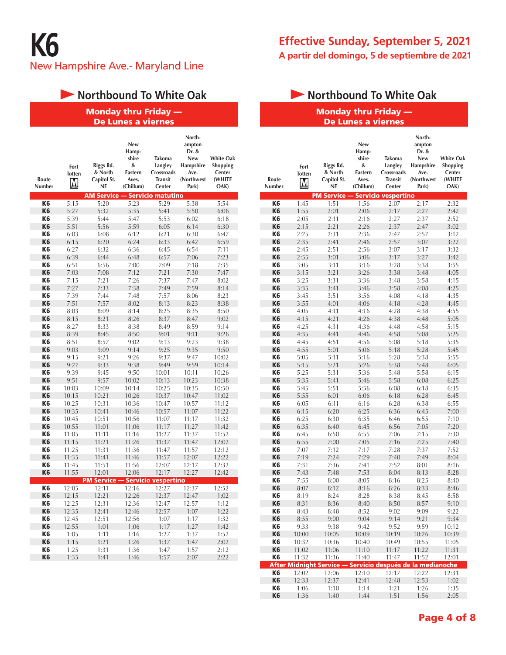# **Northbound To White Oak**

#### Monday thru Friday — De Lunes a viernes

| Route<br>Number | Fort<br><b>Totten</b><br>М | Riggs Rd.<br>& North<br>Capitol St.<br>NE | New<br>Hamp-<br>shire<br>&<br>Eastern<br>Aves.<br>(Chillum) | <b>Takoma</b><br>Langley<br>Crossroads<br><b>Transit</b><br>Center | North-<br>ampton<br>Dr. &<br><b>New</b><br>Hampshire<br>Ave.<br>(Northwest<br>Park) | <b>White Oak</b><br><b>Shopping</b><br>Center<br>(WHITE<br>OAK) |
|-----------------|----------------------------|-------------------------------------------|-------------------------------------------------------------|--------------------------------------------------------------------|-------------------------------------------------------------------------------------|-----------------------------------------------------------------|
|                 |                            | <b>AM Service</b>                         |                                                             | <b>Servicio matutino</b>                                           |                                                                                     |                                                                 |
| K <sub>6</sub>  | 5:15                       | 5:20                                      | 5:23                                                        | 5:29                                                               | 5:38                                                                                | 5:54                                                            |
| K <sub>6</sub>  | 5:27                       | 5:32                                      | 5:35                                                        | 5:41                                                               | 5:50                                                                                | 6:06                                                            |
| K <sub>6</sub>  | 5:39                       | 5:44                                      | 5:47                                                        | 5:53                                                               | 6:02                                                                                | 6:18                                                            |
| K <sub>6</sub>  | 5:51                       | 5:56                                      | 5:59                                                        | 6:05                                                               | 6:14                                                                                | 6:30                                                            |
| K <sub>6</sub>  | 6:03                       | 6:08                                      | 6:12                                                        | 6:21                                                               | 6:30                                                                                | 6:47                                                            |
| K <sub>6</sub>  | 6:15                       | 6:20                                      | 6:24                                                        | 6:33                                                               | 6:42                                                                                | 6:59                                                            |
| K6              | 6:27                       | 6:32                                      | 6:36                                                        | 6:45                                                               | 6:54                                                                                | 7:11                                                            |
| <b>K6</b>       | 6:39                       | 6:44                                      | 6:48                                                        | 6:57                                                               | 7:06                                                                                | 7:23                                                            |
| K <sub>6</sub>  | 6:51                       | 6:56                                      | 7:00                                                        | 7:09                                                               | 7:18                                                                                | 7:35                                                            |
| K <sub>6</sub>  | 7:03                       | 7:08                                      | 7:12                                                        | 7:21                                                               | 7:30                                                                                | 7:47                                                            |
| K <sub>6</sub>  | 7:15                       | 7:21                                      | 7:26                                                        | 7:37                                                               | 7:47                                                                                | 8:02                                                            |
| K <sub>6</sub>  | 7:27                       | 7:33                                      | 7:38                                                        | 7:49                                                               | 7:59                                                                                | 8:14                                                            |
| K <sub>6</sub>  | 7:39                       | 7:44                                      | 7:48                                                        | 7:57                                                               | 8:06                                                                                | 8:23                                                            |
| <b>K6</b>       | 7:51                       | 7:57                                      | 8:02                                                        | 8:13                                                               | 8:23                                                                                | 8:38                                                            |
| K <sub>6</sub>  | 8:03                       | 8:09                                      | 8:14                                                        | 8:25                                                               | 8:35                                                                                | 8:50                                                            |
| K <sub>6</sub>  | 8:15                       | 8:21                                      | 8:26                                                        | 8:37                                                               | 8:47                                                                                | 9:02                                                            |
| K <sub>6</sub>  | 8:27                       | 8:33                                      | 8:38                                                        | 8:49                                                               | 8:59                                                                                | 9:14                                                            |
| K <sub>6</sub>  | 8:39                       | 8:45                                      | 8:50                                                        | 9:01                                                               | 9:11                                                                                | 9:26                                                            |
| K <sub>6</sub>  | 8:51                       | 8:57                                      | 9:02                                                        | 9:13                                                               | 9:23                                                                                | 9:38                                                            |
| K <sub>6</sub>  | 9:03                       | 9:09                                      | 9:14                                                        | 9:25                                                               | 9:35                                                                                | 9:50                                                            |
| K <sub>6</sub>  | 9:15                       | 9:21                                      | 9:26                                                        | 9:37                                                               | 9:47                                                                                | 10:02                                                           |
| K <sub>6</sub>  | 9:27                       | 9:33                                      | 9:38                                                        | 9:49                                                               | 9:59                                                                                | 10:14                                                           |
| K <sub>6</sub>  | 9:39                       | 9:45                                      | 9:50                                                        | 10:01                                                              | 10:11                                                                               | 10:26                                                           |
| <b>K6</b>       | 9:51                       | 9:57                                      | 10:02                                                       | 10:13                                                              | 10:23                                                                               | 10:38                                                           |
| K <sub>6</sub>  | 10:03                      | 10:09                                     | 10:14                                                       | 10:25                                                              | 10:35                                                                               | 10:50                                                           |
| K <sub>6</sub>  | 10:15                      | 10:21                                     | 10:26                                                       | 10:37                                                              | 10:47                                                                               | 11:02                                                           |
| K <sub>6</sub>  | 10:25                      | 10:31                                     | 10:36                                                       | 10:47                                                              | 10:57                                                                               | 11:12                                                           |
| K <sub>6</sub>  | 10:35                      | 10:41                                     | 10:46                                                       | 10:57                                                              | 11:07                                                                               | 11:22                                                           |
| K6              | 10:45                      | 10:51                                     | 10:56                                                       | 11:07                                                              | 11:17                                                                               | 11:32                                                           |
| <b>K6</b>       | 10:55                      | 11:01                                     | 11:06                                                       | 11:17                                                              | 11:27                                                                               | 11:42                                                           |
| K <sub>6</sub>  | 11:05                      | 11:11                                     | 11:16                                                       | 11:27                                                              | 11:37                                                                               | 11:52                                                           |
| K <sub>6</sub>  | 11:15                      | 11:21                                     | 11:26                                                       | 11:37                                                              | 11:47                                                                               | 12:02                                                           |
| K <sub>6</sub>  | 11:25                      | 11:31                                     | 11:36                                                       | 11:47                                                              | 11:57                                                                               | 12:12                                                           |
| K <sub>6</sub>  | 11:35                      | 11:41                                     | 11:46                                                       | 11:57                                                              | 12:07                                                                               | 12:22                                                           |
| K <sub>6</sub>  | 11:45                      | 11:51                                     | 11:56                                                       | 12:07                                                              | 12:17                                                                               | 12:32                                                           |
| K <sub>6</sub>  | 11:55                      | 12:01                                     | 12:06                                                       | 12:17                                                              | 12:27                                                                               | 12:42                                                           |
|                 |                            | <b>PM Service</b>                         |                                                             | <b>Servicio vespertino</b>                                         |                                                                                     |                                                                 |
| K <sub>6</sub>  | 12:05                      | 12:11                                     | 12:16                                                       | 12:27                                                              | 12:37                                                                               | 12:52                                                           |
| K <sub>6</sub>  | 12:15                      | 12:21                                     | 12:26                                                       | 12:37                                                              | 12:47                                                                               | 1:02                                                            |
| K <sub>6</sub>  | 12:25                      | 12:31                                     | 12:36                                                       | 12:47                                                              | 12:57                                                                               | 1:12                                                            |
| <b>K6</b>       | 12:35                      | 12:41                                     | 12:46                                                       | 12:57                                                              | 1:07                                                                                | 1:22                                                            |
| K <sub>6</sub>  | 12:45                      | 12:51                                     | 12:56                                                       | 1:07                                                               | 1:17                                                                                | 1:32                                                            |
| K <sub>6</sub>  | 12:55                      | 1:01                                      | 1:06                                                        | 1:17                                                               | 1:27                                                                                | 1:42                                                            |
| K <sub>6</sub>  | 1:05                       | 1:11                                      | 1:16                                                        | 1:27                                                               | 1:37                                                                                | 1:52                                                            |
| K <sub>6</sub>  | 1:15                       | 1:21                                      | 1:26                                                        | 1:37                                                               | 1:47                                                                                | 2:02                                                            |
| K <sub>6</sub>  | 1:25                       | 1:31                                      | 1:36                                                        | 1:47                                                               | 1:57                                                                                | 2:12                                                            |
| K <sub>6</sub>  | 1:35                       | 1:41                                      | 1:46                                                        | 1:57                                                               | 2:07                                                                                | 2:22                                                            |

# **Effective Sunday, September 5, 2021 A partir del domingo, 5 de septiembre de 2021**

# **Northbound To White Oak**

#### Monday thru Friday — De Lunes a viernes

| Route<br>Number      | Fort<br><b>Totten</b><br>M | Riggs Rd.<br>& North<br>Capitol St.<br>NE | New<br>Hamp-<br>shire<br>&<br>Eastern<br>Aves.<br>(Chillum) | <b>Takoma</b><br>Langley<br>Crossroads<br><b>Transit</b><br>Center | North-<br>ampton<br>Dr. &<br>New<br>Hampshire<br>Ave.<br>(Northwest<br>Park) | <b>White Oak</b><br>Shopping<br>Center<br>(WHITE<br>OAK) |
|----------------------|----------------------------|-------------------------------------------|-------------------------------------------------------------|--------------------------------------------------------------------|------------------------------------------------------------------------------|----------------------------------------------------------|
|                      |                            | <b>PM Service</b>                         |                                                             | Servicio vespertino                                                |                                                                              |                                                          |
| K <sub>6</sub>       | 1:45                       | 1:51                                      | 1:56                                                        | 2:07                                                               | 2:17                                                                         | 2:32                                                     |
| K <sub>6</sub>       | 1:55                       | 2:01                                      | 2:06                                                        | 2:17                                                               | 2:27                                                                         | 2:42                                                     |
| K6                   | 2:05                       | 2:11                                      | 2:16                                                        | 2:27                                                               | 2:37                                                                         | 2:52                                                     |
| K <sub>6</sub>       | 2:15                       | 2:21                                      | 2:26                                                        | 2:37                                                               | 2:47                                                                         | 3:02                                                     |
| K <sub>6</sub>       | 2:25                       | 2:31                                      | 2:36                                                        | 2:47                                                               | 2:57                                                                         | 3:12                                                     |
| K <sub>6</sub>       | 2:35                       | 2:41                                      | 2:46                                                        | 2:57                                                               | 3:07                                                                         | 3:22                                                     |
| K6                   | 2:45                       | 2:51                                      | 2:56                                                        | 3:07                                                               | 3:17                                                                         | 3:32                                                     |
| K <sub>6</sub>       | 2:55                       | 3:01                                      | 3:06                                                        | 3:17                                                               | 3:27                                                                         | 3:42                                                     |
| K6                   | 3:05                       | 3:11                                      | 3:16                                                        | 3:28                                                               | 3:38                                                                         | 3:55                                                     |
| K <sub>6</sub>       | 3:15                       | 3:21                                      | 3:26                                                        | 3:38                                                               | 3:48                                                                         | 4:05                                                     |
| K6<br>K <sub>6</sub> | 3:25<br>3:35               | 3:31<br>3:41                              | 3:36<br>3:46                                                | 3:48<br>3:58                                                       | 3:58<br>4:08                                                                 | 4:15<br>4:25                                             |
| K <sub>6</sub>       | 3:45                       | 3:51                                      | 3:56                                                        | 4:08                                                               | 4:18                                                                         | 4:35                                                     |
| K <sub>6</sub>       | 3:55                       | 4:01                                      | 4:06                                                        | 4:18                                                               | 4:28                                                                         | 4:45                                                     |
| K6                   | 4:05                       | 4:11                                      | 4:16                                                        | 4:28                                                               | 4:38                                                                         | 4:55                                                     |
| K <sub>6</sub>       | 4:15                       | 4:21                                      | 4:26                                                        | 4:38                                                               | 4:48                                                                         | 5:05                                                     |
| K6                   | 4:25                       | 4:31                                      | 4:36                                                        | 4:48                                                               | 4:58                                                                         | 5:15                                                     |
| K <sub>6</sub>       | 4:35                       | 4:41                                      | 4:46                                                        | 4:58                                                               | 5:08                                                                         | 5:25                                                     |
| K6                   | 4:45                       | 4:51                                      | 4:56                                                        | 5:08                                                               | 5:18                                                                         | 5:35                                                     |
| K <sub>6</sub>       | 4:55                       | 5:01                                      | 5:06                                                        | 5:18                                                               | 5:28                                                                         | 5:45                                                     |
| K6                   | 5:05                       | 5:11                                      | 5:16                                                        | 5:28                                                               | 5:38                                                                         | 5:55                                                     |
| K <sub>6</sub>       | 5:15                       | 5:21                                      | 5:26                                                        | 5:38                                                               | 5:48                                                                         | 6:05                                                     |
| K6                   | 5:25                       | 5:31                                      | 5:36                                                        | 5:48                                                               | 5:58                                                                         | 6:15                                                     |
| K <sub>6</sub>       | 5:35                       | 5:41                                      | 5:46                                                        | 5:58                                                               | 6:08                                                                         | 6:25                                                     |
| K <sub>6</sub>       | 5:45                       | 5:51                                      | 5:56                                                        | 6:08                                                               | 6:18                                                                         | 6:35                                                     |
| K <sub>6</sub>       | 5:55                       | 6:01                                      | 6:06                                                        | 6:18                                                               | 6:28                                                                         | 6:45                                                     |
| K6                   | 6:05                       | 6:11                                      | 6:16                                                        | 6:28                                                               | 6:38                                                                         | 6:55                                                     |
| K <sub>6</sub>       | 6:15                       | 6:20                                      | 6:25                                                        | 6:36                                                               | 6:45                                                                         | 7:00                                                     |
| K6                   | 6:25                       | 6:30                                      | 6:35                                                        | 6:46                                                               | 6:55                                                                         | 7:10                                                     |
| K <sub>6</sub>       | 6:35                       | 6:40                                      | 6:45                                                        | 6:56                                                               | 7:05                                                                         | 7:20                                                     |
| K6                   | 6:45                       | 6:50                                      | 6:55                                                        | 7:06                                                               | 7:15                                                                         | 7:30                                                     |
| K <sub>6</sub>       | 6:55                       | 7:00                                      | 7:05                                                        | 7:16                                                               | 7:25                                                                         | 7:40                                                     |
| K6                   | 7:07                       | 7:12                                      | 7:17                                                        | 7:28                                                               | 7:37                                                                         | 7:52                                                     |
| K <sub>6</sub>       | 7:19                       | 7:24                                      | 7:29                                                        | 7:40                                                               | 7:49                                                                         | 8:04                                                     |
| K <sub>6</sub>       | 7:31                       | 7:36                                      | 7:41                                                        | 7:52                                                               | 8:01                                                                         | 8:16                                                     |
| K <sub>6</sub>       | 7:43                       | 7:48                                      | 7:53                                                        | 8:04                                                               | 8:13                                                                         | 8:28                                                     |
| K6                   | 7:55                       | 8:00                                      | 8:05                                                        | 8:16                                                               | 8:25                                                                         | 8:40                                                     |
| K6                   | 8:07                       | 8:12                                      | 8:16                                                        | 8:26                                                               | 8:33                                                                         | 8:46                                                     |
| K6                   | 8:19                       | 8:24                                      | 8:28                                                        | 8:38                                                               | 8:45                                                                         | 8:58                                                     |
| Kб                   | 8:31                       | 8:36                                      | 8:40                                                        | 8:50                                                               | 8:5/                                                                         | 9:10                                                     |
| K6                   | 8:43                       | 8:48                                      | 8:52                                                        | 9:02                                                               | 9:09                                                                         | 9:22                                                     |
| K <sub>6</sub>       | 8:55                       | 9:00                                      | 9:04                                                        | 9:14                                                               | 9:21                                                                         | 9:34                                                     |
| K6<br>K6             | 9:33                       | 9:38<br>10:05                             | 9:42                                                        | 9:52                                                               | 9:59                                                                         | 10:12                                                    |
| K6                   | 10:00<br>10:32             | 10:36                                     | 10:09<br>10:40                                              | 10:19<br>10:49                                                     | 10:26<br>10:55                                                               | 10:39<br>11:05                                           |
| K6                   | 11:02                      | 11:06                                     | 11:10                                                       | 11:17                                                              | 11:22                                                                        | 11:31                                                    |
| K <sub>6</sub>       | 11:32                      | 11:36                                     | 11:40                                                       | 11:47                                                              | 11:52                                                                        | 12:01                                                    |
|                      |                            | <b>After Midnight Service -</b>           |                                                             | Servicio después de la medianoche                                  |                                                                              |                                                          |
| K6                   | 12:02                      | 12:06                                     | 12:10                                                       | 12:17                                                              | 12:22                                                                        | 12:31                                                    |
| K6                   | 12:33                      | 12:37                                     | 12:41                                                       | 12:48                                                              | 12:53                                                                        | 1:02                                                     |
| K6                   | 1:06                       | 1:10                                      | 1:14                                                        | 1:21                                                               | 1:26                                                                         | 1:35                                                     |
| K <sub>6</sub>       | 1:36                       | 1:40                                      | 1:44                                                        | 1:51                                                               | 1:56                                                                         | 2:05                                                     |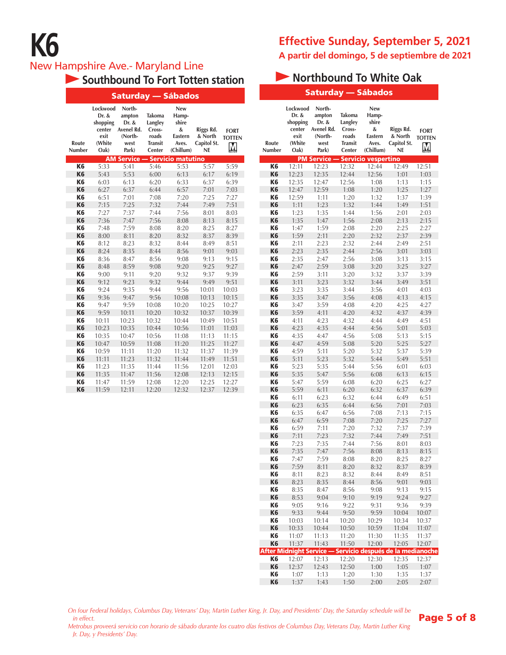# New Hampshire Ave.- Maryland Line

|                 |                                                                   | <u>Sa</u> turday                                                    |                                                                         | Sábados                                                            |                                                  |                                   |
|-----------------|-------------------------------------------------------------------|---------------------------------------------------------------------|-------------------------------------------------------------------------|--------------------------------------------------------------------|--------------------------------------------------|-----------------------------------|
| Route<br>Number | Lockwood<br>Dr. &<br>shopping<br>center<br>exit<br>(White<br>Oak) | North-<br>ampton<br>Dr. &<br>Avenel Rd.<br>(North-<br>west<br>Park) | <b>Takoma</b><br>Langley<br>Cross-<br>roads<br><b>Transit</b><br>Center | New<br>Hamp-<br>shire<br>&<br><b>Eastern</b><br>Aves.<br>(Chillum) | Riggs Rd.<br>& North<br>Capitol St.<br><b>NE</b> | <b>FORT</b><br><b>TOTTEN</b><br>M |
|                 |                                                                   | <b>AM Service</b>                                                   |                                                                         | <b>Servicio matutino</b>                                           |                                                  |                                   |
| K <sub>6</sub>  | 5:33                                                              | 5:41                                                                | 5:46                                                                    | 5:53                                                               | 5:57                                             | 5:59                              |
| K <sub>6</sub>  | 5:43                                                              | 5:53                                                                | 6:00                                                                    | 6:13                                                               | 6:17                                             | 6:19                              |
| K <sub>6</sub>  | 6:03                                                              | 6:13                                                                | 6:20                                                                    | 6:33                                                               | 6:37                                             | 6:39                              |
| K <sub>6</sub>  | 6:27                                                              | 6:37                                                                | 6:44                                                                    | 6:57                                                               | 7:01                                             | 7:03                              |
| K6              | 6:51                                                              | 7:01                                                                | 7:08                                                                    | 7:20                                                               | 7:25                                             | 7:27                              |
| K <sub>6</sub>  | 7:15                                                              | 7:25                                                                | 7:32                                                                    | 7:44                                                               | 7:49                                             | 7:51                              |
| K6              | 7:27                                                              | 7:37                                                                | 7:44                                                                    | 7:56                                                               | 8:01                                             | 8:03                              |
| K <sub>6</sub>  | 7:36                                                              | 7:47                                                                | 7:56                                                                    | 8:08                                                               | 8:13                                             | 8:15                              |
| K6              | 7:48                                                              | 7:59                                                                | 8:08                                                                    | 8:20                                                               | 8:25                                             | 8:27                              |
| K <sub>6</sub>  | 8:00                                                              | 8:11                                                                | 8:20                                                                    | 8:32                                                               | 8:37                                             | 8:39                              |
| K <sub>6</sub>  | 8:12                                                              | 8:23                                                                | 8:32                                                                    | 8:44                                                               | 8:49                                             | 8:51                              |
| K <sub>6</sub>  | 8:24                                                              | 8:35                                                                | 8:44                                                                    | 8:56                                                               | 9:01                                             | 9:03                              |
| K <sub>6</sub>  | 8:36                                                              | 8:47                                                                | 8:56                                                                    | 9:08                                                               | 9:13                                             | 9:15                              |
| K <sub>6</sub>  | 8:48                                                              | 8:59                                                                | 9:08                                                                    | 9:20                                                               | 9:25                                             | 9:27                              |
| K <sub>6</sub>  | 9:00                                                              | 9:11                                                                | 9:20                                                                    | 9:32                                                               | 9:37                                             | 9:39                              |
| K <sub>6</sub>  | 9:12                                                              | 9:23                                                                | 9:32                                                                    | 9:44                                                               | 9:49                                             | 9:51                              |
| K <sub>6</sub>  | 9:24                                                              | 9:35                                                                | 9:44                                                                    | 9:56                                                               | 10:01                                            | 10:03                             |
| K <sub>6</sub>  | 9:36                                                              | 9:47                                                                | 9:56                                                                    | 10:08                                                              | 10:13                                            | 10:15                             |
| K <sub>6</sub>  | 9:47                                                              | 9:59                                                                | 10:08                                                                   | 10:20                                                              | 10:25                                            | 10:27                             |
| K <sub>6</sub>  | 9:59                                                              | 10:11                                                               | 10:20                                                                   | 10:32                                                              | 10:37                                            | 10:39                             |
| K <sub>6</sub>  | 10:11                                                             | 10:23                                                               | 10:32                                                                   | 10:44                                                              | 10:49                                            | 10:51                             |
| K <sub>6</sub>  | 10:23                                                             | 10:35                                                               | 10:44                                                                   | 10:56                                                              | 11:01                                            | 11:03                             |
| K <sub>6</sub>  | 10:35                                                             | 10:47                                                               | 10:56                                                                   | 11:08                                                              | 11:13                                            | 11:15                             |
| K <sub>6</sub>  | 10:47                                                             | 10:59                                                               | 11:08                                                                   | 11:20                                                              | 11:25                                            | 11:27                             |
| K <sub>6</sub>  | 10:59                                                             | 11:11                                                               | 11:20                                                                   | 11:32                                                              | 11:37                                            | 11:39                             |
| K <sub>6</sub>  | 11:11                                                             | 11:23                                                               | 11:32                                                                   | 11:44                                                              | 11:49                                            | 11:51                             |
| K <sub>6</sub>  | 11:23                                                             | 11:35                                                               | 11:44                                                                   | 11:56                                                              | 12:01                                            | 12:03                             |
| K <sub>6</sub>  | 11:35                                                             | 11:47                                                               | 11:56                                                                   | 12:08                                                              | 12:13                                            | 12:15                             |
| K <sub>6</sub>  | 11:47                                                             | 11:59                                                               | 12:08                                                                   | 12:20                                                              | 12:25                                            | 12:27                             |
| K <sub>6</sub>  | 11:59                                                             | 12:11                                                               | 12:20                                                                   | 12:32                                                              | 12:37                                            | 12:39                             |

# **Effective Sunday, September 5, 2021 A partir del domingo, 5 de septiembre de 2021**

# **Southbound To Fort Totten station Access 19 Northbound To White Oak**

|        |                                                                     |                                                                         | Saturday — Sábados                                          |                                           |                                   |                                  |                                                                   | <b>Saturday — Sábados</b>                                           |                                                                  |                                                             |                                                            |                                                         |
|--------|---------------------------------------------------------------------|-------------------------------------------------------------------------|-------------------------------------------------------------|-------------------------------------------|-----------------------------------|----------------------------------|-------------------------------------------------------------------|---------------------------------------------------------------------|------------------------------------------------------------------|-------------------------------------------------------------|------------------------------------------------------------|---------------------------------------------------------|
| ю<br>g | North-<br>ampton<br>Dr. &<br>Avenel Rd.<br>(North-<br>west<br>Park) | <b>Takoma</b><br>Langley<br>Cross-<br>roads<br><b>Transit</b><br>Center | New<br>Hamp-<br>shire<br>&<br>Eastern<br>Aves.<br>(Chillum) | Riggs Rd.<br>& North<br>Capitol St.<br>NE | <b>FORT</b><br><b>TOTTEN</b><br>M | Route<br>Number                  | Lockwood<br>Dr. &<br>shopping<br>center<br>exit<br>(White<br>Oak) | North-<br>ampton<br>Dr. &<br>Avenel Rd.<br>(North-<br>west<br>Park) | Takoma<br>Langley<br>Cross-<br>roads<br><b>Transit</b><br>Center | New<br>Hamp-<br>shire<br>&<br>Eastern<br>Aves.<br>(Chillum) | Riggs Rd.<br>& North<br>Capitol St.<br>NE                  | <b>FORT</b><br><b>TOTTEN</b><br>$\overline{\mathsf{M}}$ |
|        | 5:41                                                                | 5:46                                                                    | <b>M Service — Servicio matutino</b><br>5:53                | 5:57                                      | 5:59                              | K6                               | 12:11                                                             | <b>PM Service - Servicio vespertino</b><br>12:23                    | 12:32                                                            | 12:44                                                       | 12:49                                                      | 12:51                                                   |
|        | 5:53                                                                | 6:00                                                                    | 6:13                                                        | 6:17                                      | 6:19                              | K6                               | 12:23                                                             | 12:35                                                               | 12:44                                                            | 12:56                                                       | 1:01                                                       | 1:03                                                    |
|        | 6:13                                                                | 6:20                                                                    | 6:33                                                        | 6:37                                      | 6:39                              | K6                               | 12:35                                                             | 12:47                                                               | 12:56                                                            | 1:08                                                        | 1:13                                                       | 1:15                                                    |
|        | 6:37                                                                | 6:44                                                                    | 6:57                                                        | 7:01                                      | 7:03                              | K <sub>6</sub>                   | 12:47                                                             | 12:59                                                               | 1:08                                                             | 1:20                                                        | 1:25                                                       | 1:27                                                    |
|        | 7:01                                                                | 7:08                                                                    | 7:20                                                        | 7:25                                      | 7:27                              | K6                               | 12:59                                                             | 1:11                                                                | 1:20                                                             | 1:32                                                        | 1:37                                                       | 1:39                                                    |
|        | 7:25                                                                | 7:32                                                                    | 7:44                                                        | 7:49                                      | 7:51                              | K <sub>6</sub>                   | 1:11                                                              | 1:23                                                                | 1:32                                                             | 1:44                                                        | 1:49                                                       | 1:51                                                    |
|        | 7:37                                                                | 7:44                                                                    | 7:56                                                        | 8:01                                      | 8:03                              | K <sub>6</sub>                   | 1:23                                                              | 1:35                                                                | 1:44                                                             | 1:56                                                        | 2:01                                                       | 2:03                                                    |
|        | 7:47<br>7:59                                                        | 7:56<br>8:08                                                            | 8:08<br>8:20                                                | 8:13<br>8:25                              | 8:15<br>8:27                      | K <sub>6</sub><br>K <sub>6</sub> | 1:35<br>1:47                                                      | 1:47<br>1:59                                                        | 1:56<br>2:08                                                     | 2:08<br>2:20                                                | 2:13<br>2:25                                               | 2:15<br>2:27                                            |
|        | 8:11                                                                | 8:20                                                                    | 8:32                                                        | 8:37                                      | 8:39                              | K <sub>6</sub>                   | 1:59                                                              | 2:11                                                                | 2:20                                                             | 2:32                                                        | 2:37                                                       | 2:39                                                    |
|        | 8:23                                                                | 8:32                                                                    | 8:44                                                        | 8:49                                      | 8:51                              | K <sub>6</sub>                   | 2:11                                                              | 2:23                                                                | 2:32                                                             | 2:44                                                        | 2:49                                                       | 2:51                                                    |
|        | 8:35                                                                | 8:44                                                                    | 8:56                                                        | 9:01                                      | 9:03                              | K <sub>6</sub>                   | 2:23                                                              | 2:35                                                                | 2:44                                                             | 2:56                                                        | 3:01                                                       | 3:03                                                    |
|        | 8:47                                                                | 8:56                                                                    | 9:08                                                        | 9:13                                      | 9:15                              | K6                               | 2:35                                                              | 2:47                                                                | 2:56                                                             | 3:08                                                        | 3:13                                                       | 3:15                                                    |
|        | 8:59                                                                | 9:08                                                                    | 9:20                                                        | 9:25                                      | 9:27                              | K <sub>6</sub>                   | 2:47                                                              | 2:59                                                                | 3:08                                                             | 3:20                                                        | 3:25                                                       | 3:27                                                    |
|        | 9:11                                                                | 9:20                                                                    | 9:32                                                        | 9:37                                      | 9:39                              | K6                               | 2:59                                                              | 3:11                                                                | 3:20                                                             | 3:32                                                        | 3:37                                                       | 3:39                                                    |
|        | 9:23<br>9:35                                                        | 9:32<br>9:44                                                            | 9:44<br>9:56                                                | 9:49<br>10:01                             | 9:51<br>10:03                     | K <sub>6</sub><br>K6             | 3:11<br>3:23                                                      | 3:23<br>3:35                                                        | 3:32<br>3:44                                                     | 3:44<br>3:56                                                | 3:49<br>4:01                                               | 3:51<br>4:03                                            |
|        | 9:47                                                                | 9:56                                                                    | 10:08                                                       | 10:13                                     | 10:15                             | K <sub>6</sub>                   | 3:35                                                              | 3:47                                                                | 3:56                                                             | 4:08                                                        | 4:13                                                       | 4:15                                                    |
|        | 9:59                                                                | 10:08                                                                   | 10:20                                                       | 10:25                                     | 10:27                             | K6                               | 3:47                                                              | 3:59                                                                | 4:08                                                             | 4:20                                                        | 4:25                                                       | 4:27                                                    |
|        | 10:11                                                               | 10:20                                                                   | 10:32                                                       | 10:37                                     | 10:39                             | K <sub>6</sub>                   | 3:59                                                              | 4:11                                                                | 4:20                                                             | 4:32                                                        | 4:37                                                       | 4:39                                                    |
|        | 10:23                                                               | 10:32                                                                   | 10:44                                                       | 10:49                                     | 10:51                             | K6                               | 4:11                                                              | 4:23                                                                | 4:32                                                             | 4:44                                                        | 4:49                                                       | 4:51                                                    |
|        | 10:35                                                               | 10:44                                                                   | 10:56                                                       | 11:01                                     | 11:03                             | K <sub>6</sub>                   | 4:23                                                              | 4:35                                                                | 4:44                                                             | 4:56                                                        | 5:01                                                       | 5:03                                                    |
|        | 10:47                                                               | 10:56                                                                   | 11:08                                                       | 11:13                                     | 11:15                             | K <sub>6</sub>                   | 4:35                                                              | 4:47                                                                | 4:56                                                             | 5:08                                                        | 5:13                                                       | 5:15                                                    |
|        | 10:59                                                               | 11:08<br>11:20                                                          | 11:20<br>11:32                                              | 11:25<br>11:37                            | 11:27                             | K <sub>6</sub><br>K6             | 4:47<br>4:59                                                      | 4:59<br>5:11                                                        | 5:08<br>5:20                                                     | 5:20<br>5:32                                                | 5:25<br>5:37                                               | 5:27<br>5:39                                            |
|        | 11:11<br>11:23                                                      | 11:32                                                                   | 11:44                                                       | 11:49                                     | 11:39<br>11:51                    | K <sub>6</sub>                   | 5:11                                                              | 5:23                                                                | 5:32                                                             | 5:44                                                        | 5:49                                                       | 5:51                                                    |
|        | 11:35                                                               | 11:44                                                                   | 11:56                                                       | 12:01                                     | 12:03                             | K <sub>6</sub>                   | 5:23                                                              | 5:35                                                                | 5:44                                                             | 5:56                                                        | 6:01                                                       | 6:03                                                    |
|        | 11:47                                                               | 11:56                                                                   | 12:08                                                       | 12:13                                     | 12:15                             | K <sub>6</sub>                   | 5:35                                                              | 5:47                                                                | 5:56                                                             | 6:08                                                        | 6:13                                                       | 6:15                                                    |
|        | 11:59                                                               | 12:08                                                                   | 12:20                                                       | 12:25                                     | 12:27                             | K <sub>6</sub>                   | 5:47                                                              | 5:59                                                                | 6:08                                                             | 6:20                                                        | 6:25                                                       | 6:27                                                    |
|        | 12:11                                                               | 12:20                                                                   | 12:32                                                       | 12:37                                     | 12:39                             | K <sub>6</sub>                   | 5:59                                                              | 6:11                                                                | 6:20                                                             | 6:32                                                        | 6:37                                                       | 6:39                                                    |
|        |                                                                     |                                                                         |                                                             |                                           |                                   | K6                               | 6:11                                                              | 6:23                                                                | 6:32                                                             | 6:44                                                        | 6:49                                                       | 6:51                                                    |
|        |                                                                     |                                                                         |                                                             |                                           |                                   | K <sub>6</sub>                   | 6:23                                                              | 6:35                                                                | 6:44                                                             | 6:56                                                        | 7:01                                                       | 7:03                                                    |
|        |                                                                     |                                                                         |                                                             |                                           |                                   | K <sub>6</sub><br>K <sub>6</sub> | 6:35<br>6:47                                                      | 6:47<br>6:59                                                        | 6:56<br>7:08                                                     | 7:08<br>7:20                                                | 7:13<br>7:25                                               | 7:15<br>7:27                                            |
|        |                                                                     |                                                                         |                                                             |                                           |                                   | K <sub>6</sub>                   | 6:59                                                              | 7:11                                                                | 7:20                                                             | 7:32                                                        | 7:37                                                       | 7:39                                                    |
|        |                                                                     |                                                                         |                                                             |                                           |                                   | K <sub>6</sub>                   | 7:11                                                              | 7:23                                                                | 7:32                                                             | 7:44                                                        | 7:49                                                       | 7:51                                                    |
|        |                                                                     |                                                                         |                                                             |                                           |                                   | K <sub>6</sub>                   | 7:23                                                              | 7:35                                                                | 7:44                                                             | 7:56                                                        | 8:01                                                       | 8:03                                                    |
|        |                                                                     |                                                                         |                                                             |                                           |                                   | K <sub>6</sub>                   | 7:35                                                              | 7:47                                                                | 7:56                                                             | 8:08                                                        | 8:13                                                       | 8:15                                                    |
|        |                                                                     |                                                                         |                                                             |                                           |                                   | K6                               | 7:47                                                              | 7:59                                                                | 8:08                                                             | 8:20                                                        | 8:25                                                       | 8:27                                                    |
|        |                                                                     |                                                                         |                                                             |                                           |                                   | K6                               | 7:59                                                              | 8:11                                                                | 8:20                                                             | 8:32                                                        | 8:37                                                       | 8:39                                                    |
|        |                                                                     |                                                                         |                                                             |                                           |                                   | K6<br>K <sub>6</sub>             | 8:11<br>8:23                                                      | 8:23<br>8:35                                                        | 8:32<br>8:44                                                     | 8:44<br>8:56                                                | 8:49<br>9:01                                               | 8:51<br>9:03                                            |
|        |                                                                     |                                                                         |                                                             |                                           |                                   | K <sub>6</sub>                   | 8:35                                                              | 8:47                                                                | 8:56                                                             | 9:08                                                        | 9:13                                                       | 9:15                                                    |
|        |                                                                     |                                                                         |                                                             |                                           |                                   | K <sub>6</sub>                   | 8:53                                                              | 9:04                                                                | 9:10                                                             | 9:19                                                        | 9:24                                                       | 9:27                                                    |
|        |                                                                     |                                                                         |                                                             |                                           |                                   | K <sub>6</sub>                   | 9:05                                                              | 9:16                                                                | 9:22                                                             | 9:31                                                        | 9:36                                                       | 9:39                                                    |
|        |                                                                     |                                                                         |                                                             |                                           |                                   | K <sub>6</sub>                   | 9:33                                                              | 9:44                                                                | 9:50                                                             | 9:59                                                        | 10:04                                                      | 10:07                                                   |
|        |                                                                     |                                                                         |                                                             |                                           |                                   | K6                               | 10:03                                                             | 10:14                                                               | 10:20                                                            | 10:29                                                       | 10:34                                                      | 10:37                                                   |
|        |                                                                     |                                                                         |                                                             |                                           |                                   | K <sub>6</sub>                   | 10:33                                                             | 10:44                                                               | 10:50                                                            | 10:59                                                       | 11:04                                                      | 11:07                                                   |
|        |                                                                     |                                                                         |                                                             |                                           |                                   | K <sub>6</sub><br>K <sub>6</sub> | 11:07<br>11:37                                                    | 11:13<br>11:43                                                      | 11:20<br>11:50                                                   | 11:30<br>12:00                                              | 11:35<br>12:05                                             | 11:37<br>12:07                                          |
|        |                                                                     |                                                                         |                                                             |                                           |                                   |                                  |                                                                   |                                                                     |                                                                  |                                                             | After Midnight Service — Servicio después de la medianoche |                                                         |
|        |                                                                     |                                                                         |                                                             |                                           |                                   | K6                               | 12:07                                                             | 12:13                                                               | 12:20                                                            | 12:30                                                       | 12:35                                                      | 12:37                                                   |
|        |                                                                     |                                                                         |                                                             |                                           |                                   | K <sub>6</sub>                   | 12:37                                                             | 12:43                                                               | 12:50                                                            | 1:00                                                        | 1:05                                                       | 1:07                                                    |
|        |                                                                     |                                                                         |                                                             |                                           |                                   | K <sub>6</sub>                   | 1:07                                                              | 1:13                                                                | 1:20                                                             | 1:30                                                        | 1:35                                                       | 1:37                                                    |
|        |                                                                     |                                                                         |                                                             |                                           |                                   | K <sub>6</sub>                   | 1:37                                                              | 1:43                                                                | 1:50                                                             | 2:00                                                        | 2:05                                                       | 2:07                                                    |

*On four Federal holidays, Columbus Day, Veterans' Day, Martin Luther King, Jr. Day, and Presidents' Day, the Saturday schedule will be in effect.*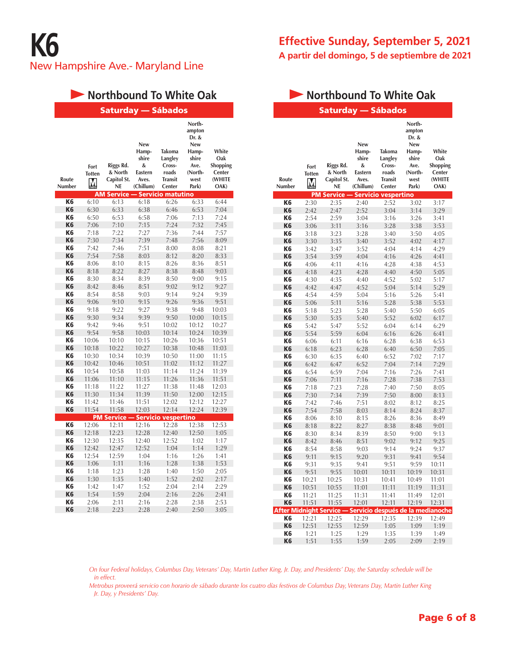# **Northbound To White Oak**

|                        |                                         | Saturday                                                           |                                                                           | <b>Sábados</b>                                                                               |                                                                                               |                                                      |
|------------------------|-----------------------------------------|--------------------------------------------------------------------|---------------------------------------------------------------------------|----------------------------------------------------------------------------------------------|-----------------------------------------------------------------------------------------------|------------------------------------------------------|
| Route<br><b>Number</b> | Fort<br><b>Totten</b><br>M<br><b>AM</b> | Riggs Rd.<br>& North<br>Capitol St.<br><b>NE</b><br><b>Service</b> | <b>New</b><br>Hamp-<br>shire<br>&<br><b>Eastern</b><br>Aves.<br>(Chillum) | Takoma<br>Langley<br>Cross-<br>roads<br><b>Transit</b><br>Center<br><b>Servicio matutino</b> | North-<br>ampton<br>Dr. &<br><b>New</b><br>Hamp-<br>shire<br>Ave.<br>(North-<br>west<br>Park) | White<br>Oak<br>Shopping<br>Center<br>(WHITE<br>OAK) |
| K <sub>6</sub>         | 6:10                                    | 6:13                                                               | 6:18                                                                      | 6:26                                                                                         | 6:33                                                                                          | 6:44                                                 |
| K <sub>6</sub>         | 6:30                                    | 6:33                                                               | 6:38                                                                      | 6:46                                                                                         | 6:53                                                                                          | 7:04                                                 |
| K6                     | 6:50                                    | 6:53                                                               | 6:58                                                                      | 7:06                                                                                         | 7:13                                                                                          | 7:24                                                 |
| K <sub>6</sub>         | 7:06                                    | 7:10                                                               | 7:15                                                                      | 7:24                                                                                         | 7:32                                                                                          | 7:45                                                 |
| K6                     | 7:18                                    | 7:22                                                               | 7:27                                                                      | 7:36                                                                                         | 7:44                                                                                          | 7:57                                                 |
| K <sub>6</sub>         | 7:30                                    | 7:34                                                               | 7:39                                                                      | 7:48                                                                                         | 7:56                                                                                          | 8:09                                                 |
| K6                     | 7:42                                    | 7:46                                                               | 7:51                                                                      | 8:00                                                                                         | 8:08                                                                                          | 8:21                                                 |
| K <sub>6</sub>         | 7:54                                    | 7:58                                                               | 8:03                                                                      | 8:12                                                                                         | 8:20                                                                                          | 8:33                                                 |
| K6                     | 8:06                                    | 8:10                                                               | 8:15                                                                      | 8:26                                                                                         | 8:36                                                                                          | 8:51                                                 |
| K <sub>6</sub>         | 8:18                                    | 8:22                                                               | 8:27                                                                      | 8:38                                                                                         | 8:48                                                                                          | 9:03                                                 |
| K <sub>6</sub>         | 8:30                                    | 8:34                                                               | 8:39                                                                      | 8:50                                                                                         | 9:00                                                                                          | 9:15                                                 |
| K <sub>6</sub>         | 8:42                                    | 8:46                                                               | 8:51                                                                      | 9:02                                                                                         | 9:12                                                                                          | 9:27                                                 |
| K6                     | 8:54                                    | 8:58                                                               | 9:03                                                                      | 9:14                                                                                         | 9:24                                                                                          | 9:39                                                 |
| K <sub>6</sub>         | 9:06                                    | 9:10                                                               | 9:15                                                                      | 9:26                                                                                         | 9:36                                                                                          | 9:51                                                 |
| K6                     | 9:18                                    | 9:22                                                               | 9:27                                                                      | 9:38                                                                                         | 9:48                                                                                          | 10:03                                                |
| K <sub>6</sub>         | 9:30                                    | 9:34                                                               | 9:39                                                                      | 9:50                                                                                         | 10:00                                                                                         | 10:15                                                |
| K6                     | 9:42                                    | 9:46                                                               | 9:51                                                                      | 10:02                                                                                        | 10:12                                                                                         | 10:27                                                |
| K <sub>6</sub>         | 9:54                                    | 9:58                                                               | 10:03                                                                     | 10:14                                                                                        | 10:24                                                                                         | 10:39                                                |
| K6                     | 10:06                                   | 10:10                                                              | 10:15                                                                     | 10:26                                                                                        | 10:36                                                                                         | 10:51                                                |
| K <sub>6</sub>         | 10:18                                   | 10:22                                                              | 10:27                                                                     | 10:38                                                                                        | 10:48                                                                                         | 11:03                                                |
| K <sub>6</sub>         | 10:30                                   | 10:34                                                              | 10:39                                                                     | 10:50                                                                                        | 11:00                                                                                         | 11:15                                                |
| K <sub>6</sub>         | 10:42                                   | 10:46                                                              | 10:51                                                                     | 11:02                                                                                        | 11:12                                                                                         | 11:27                                                |
| K6                     | 10:54                                   | 10:58                                                              | 11:03                                                                     | 11:14                                                                                        | 11:24                                                                                         | 11:39                                                |
| K <sub>6</sub>         | 11:06                                   | 11:10                                                              | 11:15                                                                     | 11:26                                                                                        | 11:36                                                                                         | 11:51                                                |
| K6                     | 11:18                                   | 11:22                                                              | 11:27                                                                     | 11:38                                                                                        | 11:48                                                                                         | 12:03                                                |
| K <sub>6</sub>         | 11:30                                   | 11:34                                                              | 11:39                                                                     | 11:50                                                                                        | 12:00                                                                                         | 12:15                                                |
| K <sub>6</sub>         | 11:42                                   | 11:46                                                              | 11:51                                                                     | 12:02                                                                                        | 12:12                                                                                         | 12:27                                                |
| K <sub>6</sub>         | 11:54                                   | 11:58                                                              | 12:03                                                                     | 12:14                                                                                        | 12:24                                                                                         | 12:39                                                |
|                        |                                         | <b>PM Service</b>                                                  |                                                                           | Servicio vespertino                                                                          |                                                                                               |                                                      |
| K <sub>6</sub>         | 12:06                                   | 12:11                                                              | 12:16                                                                     | 12:28                                                                                        | 12:38                                                                                         | 12:53                                                |
| K <sub>6</sub>         | 12:18                                   | 12:23                                                              | 12:28                                                                     | 12:40                                                                                        | 12:50                                                                                         | 1:05                                                 |
| K <sub>6</sub>         | 12:30                                   | 12:35                                                              | 12:40                                                                     | 12:52                                                                                        | 1:02                                                                                          | 1:17                                                 |
| K <sub>6</sub>         | 12:42                                   | 12:47                                                              | 12:52                                                                     | 1:04                                                                                         | 1:14                                                                                          | 1:29                                                 |
| K6                     | 12:54                                   | 12:59                                                              | 1:04                                                                      | 1:16                                                                                         | 1:26                                                                                          | 1:41                                                 |
| K <sub>6</sub>         | 1:06                                    | 1:11                                                               | 1:16                                                                      | 1:28                                                                                         | 1:38                                                                                          | 1:53                                                 |
| K <sub>6</sub>         | 1:18                                    | 1:23                                                               | 1:28                                                                      | 1:40                                                                                         | 1:50                                                                                          | 2:05                                                 |
| K <sub>6</sub>         | 1:30                                    | 1:35                                                               | 1:40                                                                      | 1:52                                                                                         | 2:02                                                                                          | 2:17                                                 |
| K6                     | 1:42                                    | 1:47                                                               | 1:52                                                                      | 2:04                                                                                         | 2:14                                                                                          | 2:29                                                 |
| K <sub>6</sub>         | 1:54                                    | 1:59                                                               | 2:04                                                                      | 2:16                                                                                         | 2:26                                                                                          | 2:41                                                 |
| K6                     | 2:06                                    | 2:11                                                               | 2:16                                                                      | 2:28                                                                                         | 2:38                                                                                          | 2:53                                                 |
| K <sub>6</sub>         | 2:18                                    | 2:23                                                               | 2:28                                                                      | 2:40                                                                                         | 2:50                                                                                          | 3:05                                                 |

# **Effective Sunday, September 5, 2021 A partir del domingo, 5 de septiembre de 2021**

# **Northbound To White Oak**

|                                 |                            | Saturday — Sábados                        |                                                             |                                                                  |                                                                                        |                                                             |
|---------------------------------|----------------------------|-------------------------------------------|-------------------------------------------------------------|------------------------------------------------------------------|----------------------------------------------------------------------------------------|-------------------------------------------------------------|
| Route<br>Number                 | Fort<br><b>Totten</b><br>M | Riggs Rd.<br>& North<br>Capitol St.<br>NE | New<br>Hamp-<br>shire<br>&<br>Eastern<br>Aves.<br>(Chillum) | Takoma<br>Langley<br>Cross-<br>roads<br><b>Transit</b><br>Center | North-<br>ampton<br>Dr. &<br>New<br>Hamp-<br>shire<br>Ave.<br>(North-<br>west<br>Park) | White<br>Oak<br><b>Shopping</b><br>Center<br>(WHITE<br>OAK) |
|                                 |                            | <b>PM Service -</b>                       |                                                             | – Servicio vespertino                                            |                                                                                        |                                                             |
| K <sub>6</sub>                  | 2:30                       | 2:35                                      | 2:40                                                        | 2:52                                                             | 3:02                                                                                   | 3:17                                                        |
| K <sub>6</sub>                  | 2:42                       | 2:47                                      | 2:52                                                        | 3:04                                                             | 3:14                                                                                   | 3:29                                                        |
| K6                              | 2:54                       | 2:59                                      | 3:04                                                        | 3:16                                                             | 3:26                                                                                   | 3:41                                                        |
| K <sub>6</sub><br>K6            | 3:06                       | 3:11                                      | 3:16                                                        | 3:28                                                             | 3:38                                                                                   | 3:53                                                        |
| K <sub>6</sub>                  | 3:18                       | 3:23<br>3:35                              | 3:28                                                        | 3:40                                                             | 3:50                                                                                   | 4:05                                                        |
| K <sub>6</sub>                  | 3:30<br>3:42               | 3:47                                      | 3:40<br>3:52                                                | 3:52<br>4:04                                                     | 4:02<br>4:14                                                                           | 4:17<br>4:29                                                |
| K <sub>6</sub>                  | 3:54                       | 3:59                                      | 4:04                                                        | 4:16                                                             | 4:26                                                                                   | 4:41                                                        |
| K6                              | 4:06                       | 4:11                                      | 4:16                                                        | 4:28                                                             | 4:38                                                                                   | 4:53                                                        |
| K6                              | 4:18                       | 4:23                                      | 4:28                                                        | 4:40                                                             | 4:50                                                                                   | 5:05                                                        |
| K6                              | 4:30                       | 4:35                                      | 4:40                                                        | 4:52                                                             | 5:02                                                                                   | 5:17                                                        |
| K <sub>6</sub>                  | 4:42                       | 4:47                                      | 4:52                                                        | 5:04                                                             | 5:14                                                                                   | 5:29                                                        |
| K6                              | 4:54                       | 4:59                                      | 5:04                                                        | 5:16                                                             | 5:26                                                                                   | 5:41                                                        |
| K <sub>6</sub>                  | 5:06                       | 5:11                                      | 5:16                                                        | 5:28                                                             | 5:38                                                                                   | 5:53                                                        |
| K6                              | 5:18                       | 5:23                                      | 5:28                                                        | 5:40                                                             | 5:50                                                                                   | 6:05                                                        |
| K <sub>6</sub>                  | 5:30                       | 5:35                                      | 5:40                                                        | 5:52                                                             | 6:02                                                                                   | 6:17                                                        |
| K6                              | 5:42                       | 5:47                                      | 5:52                                                        | 6:04                                                             | 6:14                                                                                   | 6:29                                                        |
| K <sub>6</sub>                  | 5:54                       | 5:59                                      | 6:04                                                        | 6:16                                                             | 6:26                                                                                   | 6:41                                                        |
| K6                              | 6:06                       | 6:11                                      | 6:16                                                        | 6:28                                                             | 6:38                                                                                   | 6:53                                                        |
| K <sub>6</sub>                  | 6:18                       | 6:23                                      | 6:28                                                        | 6:40                                                             | 6:50                                                                                   | 7:05                                                        |
| K6                              | 6:30                       | 6:35                                      | 6:40                                                        | 6:52                                                             | 7:02                                                                                   | 7:17                                                        |
| K <sub>6</sub>                  | 6:42                       | 6:47                                      | 6:52                                                        | 7:04                                                             | 7:14                                                                                   | 7:29                                                        |
| K6                              | 6:54                       | 6:59                                      | 7:04                                                        | 7:16                                                             | 7:26                                                                                   | 7:41                                                        |
| K <sub>6</sub>                  | 7:06                       | 7:11                                      | 7:16                                                        | 7:28                                                             | 7:38                                                                                   | 7:53                                                        |
| K6                              | 7:18                       | 7:23                                      | 7:28                                                        | 7:40                                                             | 7:50                                                                                   | 8:05                                                        |
| K6                              | 7:30                       | 7:34                                      | 7:39                                                        | 7:50                                                             | 8:00                                                                                   | 8:13                                                        |
| K6                              | 7:42                       | 7:46                                      | 7:51                                                        | 8:02                                                             | 8:12                                                                                   | 8:25                                                        |
| K <sub>6</sub>                  | 7:54                       | 7:58                                      | 8:03                                                        | 8:14                                                             | 8:24                                                                                   | 8:37                                                        |
| K6                              | 8:06                       | 8:10                                      | 8:15                                                        | 8:26                                                             | 8:36                                                                                   | 8:49                                                        |
| K <sub>6</sub>                  | 8:18                       | 8:22                                      | 8:27                                                        | 8:38                                                             | 8:48                                                                                   | 9:01                                                        |
| K6                              | 8:30                       | 8:34                                      | 8:39                                                        | 8:50                                                             | 9:00                                                                                   | 9:13                                                        |
| K <sub>6</sub>                  | 8:42                       | 8:46                                      | 8:51                                                        | 9:02                                                             | 9:12                                                                                   | 9:25                                                        |
| K6                              | 8:54                       | 8:58                                      | 9:03                                                        | 9:14                                                             | 9:24                                                                                   | 9:37                                                        |
| K <sub>6</sub>                  | 9:11                       | 9:15                                      | 9:20                                                        | 9:31                                                             | 9:41                                                                                   | 9:54                                                        |
| K6                              | 9:31                       | 9:35                                      | 9:41                                                        | 9:51                                                             | 9:59                                                                                   | 10:11                                                       |
| K <sub>6</sub>                  | 9:51                       | 9:55                                      | 10:01                                                       | 10:11                                                            | 10:19                                                                                  | 10:31                                                       |
| Kб                              | 10:21                      | 10:25                                     | 10:31                                                       | 10:41                                                            | 10:49                                                                                  | 11:01                                                       |
| K <sub>6</sub>                  | 10:51                      | 10:55                                     | 11:01                                                       | 11:11                                                            | 11:19                                                                                  | 11:31                                                       |
| K6                              | 11:21                      | 11:25                                     | 11:31                                                       | 11:41                                                            | 11:49                                                                                  | 12:01                                                       |
| K <sub>6</sub>                  | 11:51                      | 11:55                                     | 12:01                                                       | 12:11                                                            | 12:19                                                                                  | 12:31                                                       |
| <b>After Midnight Service -</b> |                            |                                           |                                                             | Servicio después de la medianoche                                |                                                                                        |                                                             |
| K6                              | 12:21                      | 12:25                                     | 12:29                                                       | 12:35                                                            | 12:39                                                                                  | 12:49                                                       |
| K <sub>6</sub>                  | 12:51                      | 12:55                                     | 12:59                                                       | 1:05                                                             | 1:09                                                                                   | 1:19                                                        |
| K6<br>K <sub>6</sub>            | 1:21<br>1:51               | 1:25<br>1:55                              | 1:29<br>1:59                                                | 1:35<br>2:05                                                     | 1:39<br>2:09                                                                           | 1:49<br>2:19                                                |
|                                 |                            |                                           |                                                             |                                                                  |                                                                                        |                                                             |

*On four Federal holidays, Columbus Day, Veterans' Day, Martin Luther King, Jr. Day, and Presidents' Day, the Saturday schedule will be in effect.*

*Metrobus proveerá servicio con horario de sábado durante los cuatro días festivos de Columbus Day, Veterans Day, Martin Luther King Jr. Day, y Presidents' Day.*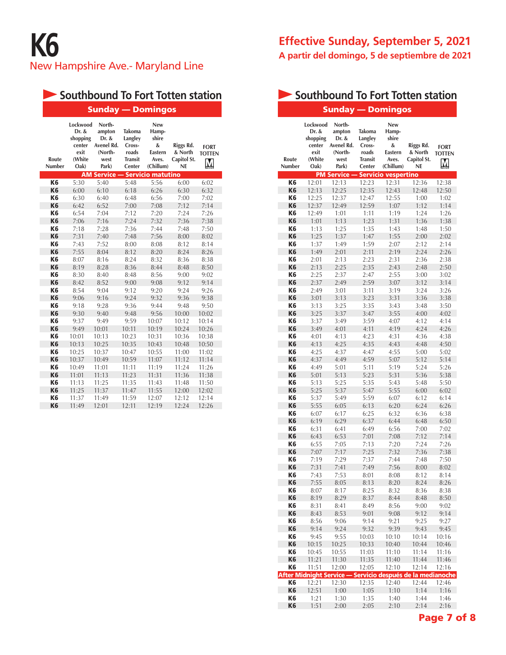# **Southbound To Fort Totten station**

|                 | <b>Sunday — Domingos</b>                                          |                                                                     |                                                                         |                                                                    |                                                  |                                   |  |  |  |  |  |  |
|-----------------|-------------------------------------------------------------------|---------------------------------------------------------------------|-------------------------------------------------------------------------|--------------------------------------------------------------------|--------------------------------------------------|-----------------------------------|--|--|--|--|--|--|
| Route<br>Number | Lockwood<br>Dr. &<br>shopping<br>center<br>exit<br>(White<br>Oak) | North-<br>ampton<br>Dr. &<br>Avenel Rd.<br>(North-<br>west<br>Park) | <b>Takoma</b><br>Langley<br>Cross-<br>roads<br><b>Transit</b><br>Center | <b>New</b><br>Hamp-<br>shire<br>&<br>Eastern<br>Aves.<br>(Chillum) | Riggs Rd.<br>& North<br>Capitol St.<br><b>NE</b> | <b>FORT</b><br><b>TOTTEN</b><br>M |  |  |  |  |  |  |
|                 |                                                                   | <b>AM Service -</b>                                                 |                                                                         | <b>Servicio matutino</b>                                           |                                                  |                                   |  |  |  |  |  |  |
| K <sub>6</sub>  | 5:30                                                              | 5:40                                                                | 5:48                                                                    | 5:56                                                               | 6:00                                             | 6:02                              |  |  |  |  |  |  |
| K <sub>6</sub>  | 6:00                                                              | 6:10                                                                | 6:18                                                                    | 6:26                                                               | 6:30                                             | 6:32                              |  |  |  |  |  |  |
| K <sub>6</sub>  | 6:30                                                              | 6:40                                                                | 6:48                                                                    | 6:56                                                               | 7:00                                             | 7:02                              |  |  |  |  |  |  |
| K <sub>6</sub>  | 6:42                                                              | 6:52                                                                | 7:00                                                                    | 7:08                                                               | 7:12                                             | 7:14                              |  |  |  |  |  |  |
| K <sub>6</sub>  | 6:54                                                              | 7:04                                                                | 7:12                                                                    | 7:20                                                               | 7:24                                             | 7:26                              |  |  |  |  |  |  |
| K <sub>6</sub>  | 7:06                                                              | 7:16                                                                | 7:24                                                                    | 7:32                                                               | 7:36                                             | 7:38                              |  |  |  |  |  |  |
| K <sub>6</sub>  | 7:18                                                              | 7:28                                                                | 7:36                                                                    | 7:44                                                               | 7:48                                             | 7:50                              |  |  |  |  |  |  |
| K <sub>6</sub>  | 7:31                                                              | 7:40                                                                | 7:48                                                                    | 7:56                                                               | 8:00                                             | 8:02                              |  |  |  |  |  |  |
| K <sub>6</sub>  | 7:43                                                              | 7:52                                                                | 8:00                                                                    | 8:08                                                               | 8:12                                             | 8:14                              |  |  |  |  |  |  |
| K <sub>6</sub>  | 7:55                                                              | 8:04                                                                | 8:12                                                                    | 8:20                                                               | 8:24                                             | 8:26                              |  |  |  |  |  |  |
| K <sub>6</sub>  | 8:07                                                              | 8:16                                                                | 8:24                                                                    | 8:32                                                               | 8:36                                             | 8:38                              |  |  |  |  |  |  |
| K <sub>6</sub>  | 8:19                                                              | 8:28                                                                | 8:36                                                                    | 8:44                                                               | 8:48                                             | 8:50                              |  |  |  |  |  |  |
| K <sub>6</sub>  | 8:30                                                              | 8:40                                                                | 8:48                                                                    | 8:56                                                               | 9:00                                             | 9:02                              |  |  |  |  |  |  |
| K <sub>6</sub>  | 8:42                                                              | 8:52                                                                | 9:00                                                                    | 9:08                                                               | 9:12                                             | 9:14                              |  |  |  |  |  |  |
| K <sub>6</sub>  | 8:54                                                              | 9:04                                                                | 9:12                                                                    | 9:20                                                               | 9:24                                             | 9:26                              |  |  |  |  |  |  |
| K <sub>6</sub>  | 9:06                                                              | 9:16                                                                | 9:24                                                                    | 9:32                                                               | 9:36                                             | 9:38                              |  |  |  |  |  |  |
| K <sub>6</sub>  | 9:18                                                              | 9:28                                                                | 9:36                                                                    | 9:44                                                               | 9:48                                             | 9:50                              |  |  |  |  |  |  |
| K <sub>6</sub>  | 9:30                                                              | 9:40                                                                | 9:48                                                                    | 9:56                                                               | 10:00                                            | 10:02                             |  |  |  |  |  |  |
| K6              | 9:37                                                              | 9:49                                                                | 9:59                                                                    | 10:07                                                              | 10:12                                            | 10:14                             |  |  |  |  |  |  |
| K <sub>6</sub>  | 9:49                                                              | 10:01                                                               | 10:11                                                                   | 10:19                                                              | 10:24                                            | 10:26                             |  |  |  |  |  |  |
| K <sub>6</sub>  | 10:01                                                             | 10:13                                                               | 10:23                                                                   | 10:31                                                              | 10:36                                            | 10:38                             |  |  |  |  |  |  |
| K <sub>6</sub>  | 10:13                                                             | 10:25                                                               | 10:35                                                                   | 10:43                                                              | 10:48                                            | 10:50                             |  |  |  |  |  |  |
| K <sub>6</sub>  | 10:25                                                             | 10:37                                                               | 10:47                                                                   | 10:55                                                              | 11:00                                            | 11:02                             |  |  |  |  |  |  |
| K <sub>6</sub>  | 10:37                                                             | 10:49                                                               | 10:59                                                                   | 11:07                                                              | 11:12                                            | 11:14                             |  |  |  |  |  |  |
| K <sub>6</sub>  | 10:49                                                             | 11:01                                                               | 11:11                                                                   | 11:19                                                              | 11:24                                            | 11:26                             |  |  |  |  |  |  |
| K <sub>6</sub>  | 11:01                                                             | 11:13                                                               | 11:23                                                                   | 11:31                                                              | 11:36                                            | 11:38                             |  |  |  |  |  |  |
| K6              | 11:13                                                             | 11:25                                                               | 11:35                                                                   | 11:43                                                              | 11:48                                            | 11:50                             |  |  |  |  |  |  |
| K <sub>6</sub>  | 11:25                                                             | 11:37                                                               | 11:47                                                                   | 11:55                                                              | 12:00                                            | 12:02                             |  |  |  |  |  |  |
| K <sub>6</sub>  | 11:37                                                             | 11:49                                                               | 11:59                                                                   | 12:07                                                              | 12:12                                            | 12:14                             |  |  |  |  |  |  |
| K <sub>6</sub>  | 11:49                                                             | 12:01                                                               | 12:11                                                                   | 12:19                                                              | 12:24                                            | 12:26                             |  |  |  |  |  |  |

# **Effective Sunday, September 5, 2021 A partir del domingo, 5 de septiembre de 2021**

# Sunday — Domingos **Southbound To Fort Totten station**

| Route<br>Number      | Lockwood<br>Dr. &<br>shopping<br>center<br>exit<br>(White<br>Oak) | North-<br>ampton<br>Dr. &<br>Avenel Rd.<br>(North-<br>west<br>Park) | Takoma<br>Langley<br>Cross-<br>roads<br><b>Transit</b><br>Center | <b>New</b><br>Hamp-<br>shire<br>&<br>Eastern<br>Aves.<br>(Chillum) | Riggs Rd.<br>& North<br>Capitol St.<br><b>NE</b> | <b>FORT</b><br><b>TOTTEN</b><br>Μ |
|----------------------|-------------------------------------------------------------------|---------------------------------------------------------------------|------------------------------------------------------------------|--------------------------------------------------------------------|--------------------------------------------------|-----------------------------------|
|                      |                                                                   | <b>PM Service</b>                                                   |                                                                  | <b>Servicio vespertino</b>                                         |                                                  |                                   |
| K <sub>6</sub>       | 12:01                                                             | 12:13                                                               | 12:23                                                            | 12:31                                                              | 12:36                                            | 12:38                             |
| K <sub>6</sub>       | 12:13                                                             | 12:25                                                               | 12:35                                                            | 12:43                                                              | 12:48                                            | 12:50                             |
| K6<br>K <sub>6</sub> | 12:25                                                             | 12:37                                                               | 12:47                                                            | 12:55                                                              | 1:00                                             | 1:02                              |
|                      | 12:37                                                             | 12:49                                                               | 12:59                                                            | 1:07                                                               | 1:12                                             | 1:14                              |
| K6<br>K <sub>6</sub> | 12:49<br>1:01                                                     | 1:01<br>1:13                                                        | 1:11                                                             | 1:19                                                               | 1:24                                             | 1:26                              |
| K6                   | 1:13                                                              | 1:25                                                                | 1:23<br>1:35                                                     | 1:31<br>1:43                                                       | 1:36<br>1:48                                     | 1:38<br>1:50                      |
| K <sub>6</sub>       | 1:25                                                              | 1:37                                                                | 1:47                                                             | 1:55                                                               | 2:00                                             | 2:02                              |
| K6                   | 1:37                                                              | 1:49                                                                | 1:59                                                             | 2:07                                                               | 2:12                                             | 2:14                              |
| K <sub>6</sub>       | 1:49                                                              | 2:01                                                                | 2:11                                                             | 2:19                                                               | 2:24                                             | 2:26                              |
| K6                   | 2:01                                                              | 2:13                                                                | 2:23                                                             | 2:31                                                               | 2:36                                             | 2:38                              |
| K <sub>6</sub>       | 2:13                                                              | 2:25                                                                | 2:35                                                             | 2:43                                                               | 2:48                                             | 2:50                              |
| K6                   | 2:25                                                              | 2:37                                                                | 2:47                                                             | 2:55                                                               | 3:00                                             | 3:02                              |
| K <sub>6</sub>       | 2:37                                                              | 2:49                                                                | 2:59                                                             | 3:07                                                               | 3:12                                             | 3:14                              |
| K <sub>6</sub>       | 2:49                                                              | 3:01                                                                | 3:11                                                             | 3:19                                                               | 3:24                                             | 3:26                              |
| K <sub>6</sub>       | 3:01                                                              | 3:13                                                                | 3:23                                                             | 3:31                                                               | 3:36                                             | 3:38                              |
| K6                   | 3:13                                                              | 3:25                                                                | 3:35                                                             | 3:43                                                               | 3:48                                             | 3:50                              |
| K <sub>6</sub>       | 3:25                                                              | 3:37                                                                | 3:47                                                             | 3:55                                                               | 4:00                                             | 4:02                              |
| K <sub>6</sub>       | 3:37                                                              | 3:49                                                                | 3:59                                                             | 4:07                                                               | 4:12                                             | 4:14                              |
| K <sub>6</sub>       | 3:49                                                              | 4:01                                                                | 4:11                                                             | 4:19                                                               | 4:24                                             | 4:26                              |
| K <sub>6</sub>       | 4:01                                                              | 4:13                                                                | 4:23                                                             | 4:31                                                               | 4:36                                             | 4:38                              |
| K <sub>6</sub>       | 4:13                                                              | 4:25                                                                | 4:35                                                             | 4:43                                                               | 4:48                                             | 4:50                              |
| K <sub>6</sub>       | 4:25                                                              | 4:37                                                                | 4:47                                                             | 4:55                                                               | 5:00                                             | 5:02                              |
| K <sub>6</sub>       | 4:37                                                              | 4:49                                                                | 4:59                                                             | 5:07                                                               | 5:12                                             | 5:14                              |
| K <sub>6</sub>       | 4:49                                                              | 5:01                                                                | 5:11                                                             | 5:19                                                               | 5:24                                             | 5:26                              |
| K <sub>6</sub>       | 5:01                                                              | 5:13                                                                | 5:23                                                             | 5:31                                                               | 5:36                                             | 5:38                              |
| K <sub>6</sub>       | 5:13                                                              | 5:25                                                                | 5:35                                                             | 5:43                                                               | 5:48                                             | 5:50                              |
| K <sub>6</sub>       | 5:25                                                              | 5:37                                                                | 5:47                                                             | 5:55                                                               | 6:00                                             | 6:02                              |
| K <sub>6</sub>       | 5:37                                                              | 5:49                                                                | 5:59                                                             | 6:07                                                               | 6:12                                             | 6:14                              |
| K <sub>6</sub>       | 5:55                                                              | 6:05                                                                | 6:13                                                             | 6:20                                                               | 6:24                                             | 6:26                              |
| K6                   | 6:07                                                              | 6:17                                                                | 6:25                                                             | 6:32                                                               | 6:36                                             | 6:38                              |
| K <sub>6</sub>       | 6:19                                                              | 6:29                                                                | 6:37                                                             | 6:44                                                               | 6:48                                             | 6:50                              |
| K6<br>K <sub>6</sub> | 6:31                                                              | 6:41                                                                | 6:49                                                             | 6:56                                                               | 7:00                                             | 7:02                              |
| K <sub>6</sub>       | 6:43<br>6:55                                                      | 6:53<br>7:05                                                        | 7:01<br>7:13                                                     | 7:08<br>7:20                                                       | 7:12<br>7:24                                     | 7:14<br>7:26                      |
| K <sub>6</sub>       | 7:07                                                              | 7:17                                                                | 7:25                                                             | 7:32                                                               | 7:36                                             | 7:38                              |
| K6                   | 7:19                                                              | 7:29                                                                | 7:37                                                             | 7:44                                                               | 7:48                                             | 7:50                              |
| K <sub>6</sub>       | 7:31                                                              | 7:41                                                                | 7:49                                                             | 7:56                                                               | 8:00                                             | 8:02                              |
| K6                   | 7:43                                                              | 7:53                                                                | 8:01                                                             | 8:08                                                               | 8:12                                             | 8:14                              |
| K <sub>6</sub>       | 7:55                                                              | 8:05                                                                | 8:13                                                             | 8:20                                                               | 8:24                                             | 8:26                              |
| K6                   | 8:07                                                              | 8:17                                                                | 8:25                                                             | 8:32                                                               | 8:36                                             | 8:38                              |
| K <sub>6</sub>       | 8:19                                                              | 8:29                                                                | 8:37                                                             | 8:44                                                               | 8:48                                             | 8:50                              |
| K6                   | 8:31                                                              | 8:41                                                                | 8:49                                                             | 8:56                                                               | 9:00                                             | 9:02                              |
| K <sub>6</sub>       | 8:43                                                              | 8:53                                                                | 9:01                                                             | 9:08                                                               | 9:12                                             | 9:14                              |
| K6                   | 8:56                                                              | 9:06                                                                | 9:14                                                             | 9:21                                                               | 9:25                                             | 9:27                              |
| K <sub>6</sub>       | 9:14                                                              | 9:24                                                                | 9:32                                                             | 9:39                                                               | 9:43                                             | 9:45                              |
| K6                   | 9:45                                                              | 9:55                                                                | 10:03                                                            | 10:10                                                              | 10:14                                            | 10:16                             |
| K <sub>6</sub>       | 10:15                                                             | 10:25                                                               | 10:33                                                            | 10:40                                                              | 10:44                                            | 10:46                             |
| K6                   | 10:45                                                             | 10:55                                                               | 11:03                                                            | 11:10                                                              | 11:14                                            | 11:16                             |
| K <sub>6</sub>       | 11:21                                                             | 11:30                                                               | 11:35                                                            | 11:40                                                              | 11:44                                            | 11:46                             |
| K6                   | 11:51                                                             | 12:00                                                               | 12:05                                                            | 12:10                                                              | 12:14                                            | 12:16                             |
|                      | <b>After Midnight Service -</b>                                   |                                                                     |                                                                  |                                                                    | Servicio después de la medianoche                |                                   |
| K6                   | 12:21                                                             | 12:30                                                               | 12:35                                                            | 12:40                                                              | 12:44                                            | 12:46                             |
| K <sub>6</sub>       | 12:51                                                             | 1:00                                                                | 1:05                                                             | 1:10                                                               | 1:14                                             | 1:16                              |
| K6<br>K <sub>6</sub> | 1:21<br>1:51                                                      | 1:30<br>2:00                                                        | 1:35<br>2:05                                                     | 1:40<br>2:10                                                       | 1:44<br>2:14                                     | 1:46<br>2:16                      |
|                      |                                                                   |                                                                     |                                                                  |                                                                    |                                                  |                                   |

Page 7 of 8